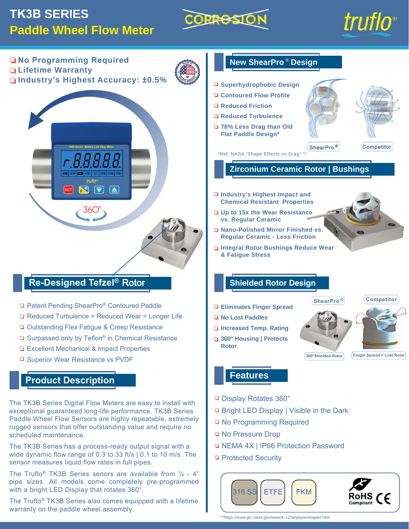# **TK3B SERIES Paddle Wheel Flow Meter**





**No Programming Required Lifetime Warranty Industry's Highest Accuracy: ±0.5%**



# **Re-Designed Tefzel®** Rotor

- □ Patent Pending ShearPro® Contoured Paddle
- □ Reduced Turbulence = Reduced Wear = Longer Life
- □ Outstanding Flex Fatigue & Creep Resistance
- □ Surpassed only by Teflon<sup>®</sup> in Chemical Resistance
- **□ Excellent Mechanical & Impact Properties**
- □ Superior Wear Resistance vs PVDF

# **Product Description**

The TK3B Series Digital Flow Meters are easy to install with exceptional guaranteed long-life performance. TK3B Series Paddle Wheel Flow Sensors are highly repeatable, extremely rugged sensors that offer outstanding value and require no scheduled maintenance.

The TK3B Series has a process-ready output signal with a wide dynamic flow range of 0.3 to 33 ft/s | 0.1 to 10 m/s. The sensor measures liquid flow rates in full pipes.

The Truflo<sup>®</sup> TK3B Series senors are available from  $\frac{1}{4}$  - 4" pipe sizes. All models come completely pre-programmed with a bright LED Display that rotates 360°.

The Truflo® TK3B Series also comes equipped with a lifetime warranty on the paddle wheel assembly.



**Features**

- □ Display Rotates 360°
- □ Bright LED Display | Visible in the Dark
- □ No Programming Required
- **No Pressure Drop**
- NEMA 4X | IP66 Protection Password
- **Protected Security**